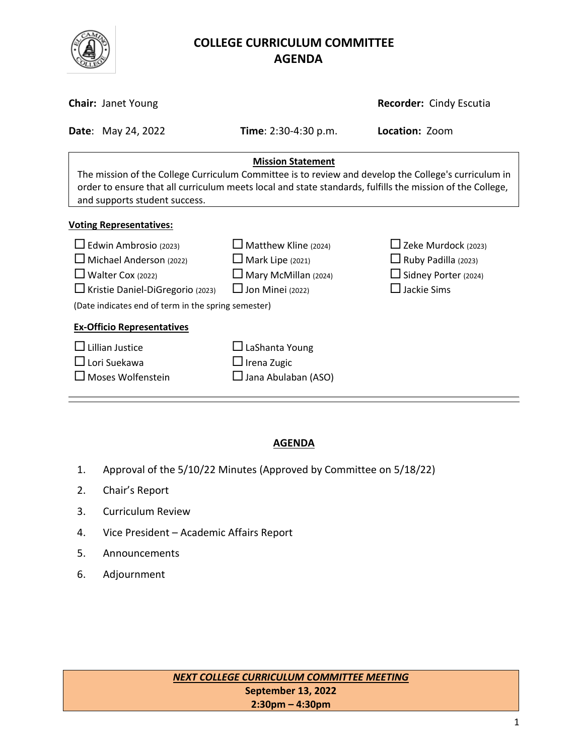

# **COLLEGE CURRICULUM COMMITTEE** **AGENDA**

| <b>Recorder: Cindy Escutia</b><br><b>Chair: Janet Young</b>                                                                                                                                                                                                                    |                                                                                                                  |                                                                                                          |  |  |  |  |
|--------------------------------------------------------------------------------------------------------------------------------------------------------------------------------------------------------------------------------------------------------------------------------|------------------------------------------------------------------------------------------------------------------|----------------------------------------------------------------------------------------------------------|--|--|--|--|
| <b>Date: May 24, 2022</b>                                                                                                                                                                                                                                                      | <b>Time</b> : $2:30-4:30$ p.m.                                                                                   | Location: Zoom                                                                                           |  |  |  |  |
| <b>Mission Statement</b><br>The mission of the College Curriculum Committee is to review and develop the College's curriculum in<br>order to ensure that all curriculum meets local and state standards, fulfills the mission of the College,<br>and supports student success. |                                                                                                                  |                                                                                                          |  |  |  |  |
| <b>Voting Representatives:</b>                                                                                                                                                                                                                                                 |                                                                                                                  |                                                                                                          |  |  |  |  |
| $\Box$ Edwin Ambrosio (2023)<br>$\Box$ Michael Anderson (2022)<br>Walter Cox (2022)<br>□ Kristie Daniel-DiGregorio (2023)<br>(Date indicates end of term in the spring semester)                                                                                               | $\Box$ Matthew Kline (2024)<br>$\Box$ Mark Lipe (2021)<br>$\Box$ Mary McMillan (2024)<br>$\Box$ Jon Minei (2022) | $\Box$ Zeke Murdock (2023)<br>$\Box$ Ruby Padilla (2023)<br>□ Sidney Porter (2024)<br>$\Box$ Jackie Sims |  |  |  |  |
| <b>Ex-Officio Representatives</b>                                                                                                                                                                                                                                              |                                                                                                                  |                                                                                                          |  |  |  |  |
| Lillian Justice<br>$\Box$ Lori Suekawa<br>$\square$ Moses Wolfenstein                                                                                                                                                                                                          | $\Box$ LaShanta Young<br>$\Box$ Irena Zugic<br>$\Box$ Jana Abulaban (ASO)                                        |                                                                                                          |  |  |  |  |

### **AGENDA**

- 1. Approval of the 5/10/22 Minutes (Approved by Committee on 5/18/22)
- 2. Chair's Report
- 3. Curriculum Review
- 4. Vice President Academic Affairs Report
- 5. Announcements
- 6. Adjournment

| <b>NEXT COLLEGE CURRICULUM COMMITTEE MEETING</b> |
|--------------------------------------------------|
| September 13, 2022                               |
| $2:30$ pm – 4:30pm                               |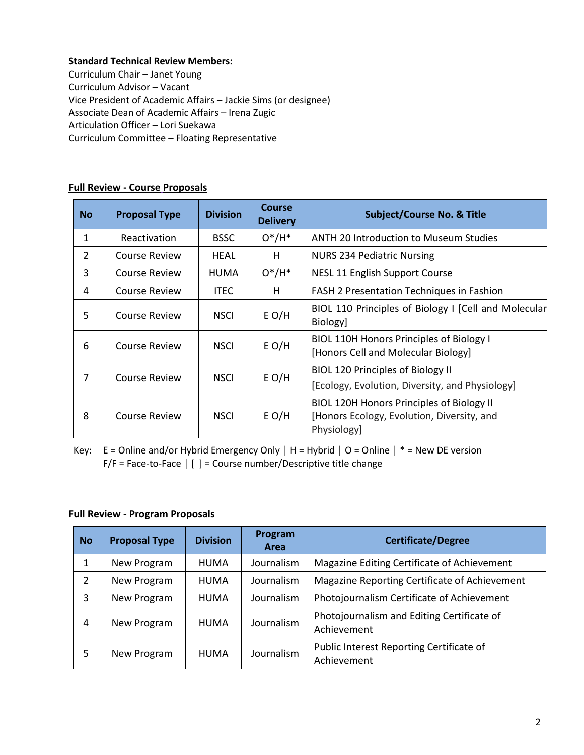#### **Standard Technical Review Members:**

Curriculum Chair – Janet Young Curriculum Advisor – Vacant Vice President of Academic Affairs – Jackie Sims (or designee) Associate Dean of Academic Affairs – Irena Zugic Articulation Officer – Lori Suekawa Curriculum Committee – Floating Representative

| <b>No</b> | <b>Proposal Type</b> | <b>Division</b> | Course<br><b>Delivery</b> | <b>Subject/Course No. &amp; Title</b>                                                                  |
|-----------|----------------------|-----------------|---------------------------|--------------------------------------------------------------------------------------------------------|
| 1         | Reactivation         | <b>BSSC</b>     | $O^*/H^*$                 | <b>ANTH 20 Introduction to Museum Studies</b>                                                          |
| 2         | Course Review        | HEAL            | н                         | <b>NURS 234 Pediatric Nursing</b>                                                                      |
| 3         | Course Review        | <b>HUMA</b>     | $O^*/H^*$                 | NESL 11 English Support Course                                                                         |
| 4         | Course Review        | <b>ITEC</b>     | н                         | FASH 2 Presentation Techniques in Fashion                                                              |
| 5         | Course Review        | <b>NSCI</b>     | $E$ O/H                   | BIOL 110 Principles of Biology I [Cell and Molecular<br>Biology]                                       |
| 6         | Course Review        | <b>NSCI</b>     | $E$ O/H                   | BIOL 110H Honors Principles of Biology I<br>[Honors Cell and Molecular Biology]                        |
| 7         | Course Review        | <b>NSCI</b>     | $E$ O/H                   | <b>BIOL 120 Principles of Biology II</b><br>[Ecology, Evolution, Diversity, and Physiology]            |
| 8         | Course Review        | <b>NSCI</b>     | $E$ O/H                   | BIOL 120H Honors Principles of Biology II<br>[Honors Ecology, Evolution, Diversity, and<br>Physiology] |

#### **Full Review - Course Proposals**

Key: E = Online and/or Hybrid Emergency Only **│** H = Hybrid **│** O = Online **│** \* = New DE version F/F = Face-to-Face **│** [ ] = Course number/Descriptive title change

#### **Full Review - Program Proposals**

| <b>No</b>      | <b>Proposal Type</b> | <b>Division</b> | Program<br>Area | <b>Certificate/Degree</b>                                 |
|----------------|----------------------|-----------------|-----------------|-----------------------------------------------------------|
| 1              | New Program          | <b>HUMA</b>     | Journalism      | Magazine Editing Certificate of Achievement               |
| $\overline{2}$ | New Program          | <b>HUMA</b>     | Journalism      | Magazine Reporting Certificate of Achievement             |
| 3              | New Program          | <b>HUMA</b>     | Journalism      | Photojournalism Certificate of Achievement                |
| 4              | New Program          | <b>HUMA</b>     | Journalism      | Photojournalism and Editing Certificate of<br>Achievement |
| 5              | New Program          | <b>HUMA</b>     | Journalism      | Public Interest Reporting Certificate of<br>Achievement   |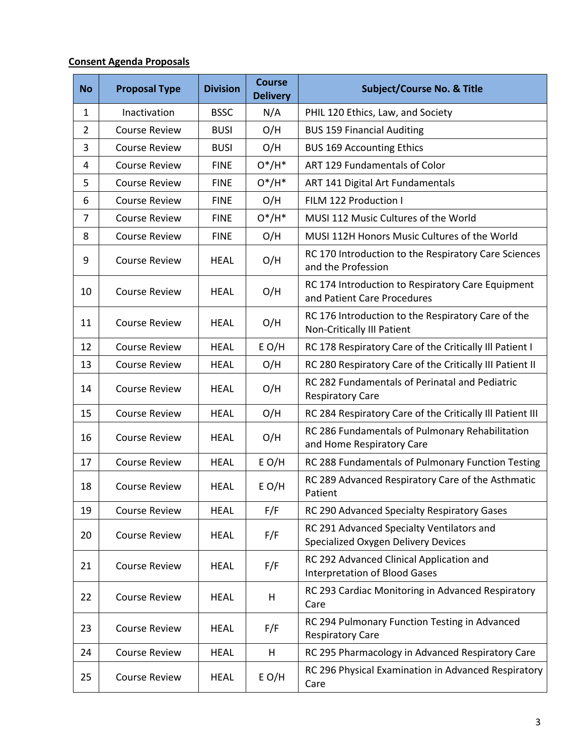## **Consent Agenda Proposals**

| <b>No</b>      | <b>Proposal Type</b> | <b>Division</b> | <b>Course</b><br><b>Delivery</b> | <b>Subject/Course No. &amp; Title</b>                                            |
|----------------|----------------------|-----------------|----------------------------------|----------------------------------------------------------------------------------|
| $\mathbf{1}$   | Inactivation         | <b>BSSC</b>     | N/A                              | PHIL 120 Ethics, Law, and Society                                                |
| $\overline{2}$ | <b>Course Review</b> | <b>BUSI</b>     | O/H                              | <b>BUS 159 Financial Auditing</b>                                                |
| 3              | <b>Course Review</b> | <b>BUSI</b>     | O/H                              | <b>BUS 169 Accounting Ethics</b>                                                 |
| 4              | <b>Course Review</b> | <b>FINE</b>     | $0*/H^*$                         | <b>ART 129 Fundamentals of Color</b>                                             |
| 5              | <b>Course Review</b> | <b>FINE</b>     | $0*/H^*$                         | ART 141 Digital Art Fundamentals                                                 |
| 6              | <b>Course Review</b> | <b>FINE</b>     | O/H                              | FILM 122 Production I                                                            |
| $\overline{7}$ | <b>Course Review</b> | <b>FINE</b>     | $O^*/H^*$                        | MUSI 112 Music Cultures of the World                                             |
| 8              | <b>Course Review</b> | <b>FINE</b>     | O/H                              | MUSI 112H Honors Music Cultures of the World                                     |
| 9              | <b>Course Review</b> | <b>HEAL</b>     | O/H                              | RC 170 Introduction to the Respiratory Care Sciences<br>and the Profession       |
| 10             | <b>Course Review</b> | <b>HEAL</b>     | O/H                              | RC 174 Introduction to Respiratory Care Equipment<br>and Patient Care Procedures |
| 11             | <b>Course Review</b> | <b>HEAL</b>     | O/H                              | RC 176 Introduction to the Respiratory Care of the<br>Non-Critically III Patient |
| 12             | <b>Course Review</b> | <b>HEAL</b>     | $E$ O/H                          | RC 178 Respiratory Care of the Critically Ill Patient I                          |
| 13             | <b>Course Review</b> | <b>HEAL</b>     | O/H                              | RC 280 Respiratory Care of the Critically III Patient II                         |
| 14             | <b>Course Review</b> | <b>HEAL</b>     | O/H                              | RC 282 Fundamentals of Perinatal and Pediatric<br><b>Respiratory Care</b>        |
| 15             | <b>Course Review</b> | <b>HEAL</b>     | O/H                              | RC 284 Respiratory Care of the Critically III Patient III                        |
| 16             | <b>Course Review</b> | <b>HEAL</b>     | O/H                              | RC 286 Fundamentals of Pulmonary Rehabilitation<br>and Home Respiratory Care     |
| 17             | <b>Course Review</b> | <b>HEAL</b>     | $E$ O/H                          | RC 288 Fundamentals of Pulmonary Function Testing                                |
| 18             | <b>Course Review</b> | <b>HEAL</b>     | $E$ O/H                          | RC 289 Advanced Respiratory Care of the Asthmatic<br>Patient                     |
| 19             | <b>Course Review</b> | <b>HEAL</b>     | F/F                              | RC 290 Advanced Specialty Respiratory Gases                                      |
| 20             | <b>Course Review</b> | <b>HEAL</b>     | F/F                              | RC 291 Advanced Specialty Ventilators and<br>Specialized Oxygen Delivery Devices |
| 21             | <b>Course Review</b> | <b>HEAL</b>     | F/F                              | RC 292 Advanced Clinical Application and<br><b>Interpretation of Blood Gases</b> |
| 22             | <b>Course Review</b> | <b>HEAL</b>     | н                                | RC 293 Cardiac Monitoring in Advanced Respiratory<br>Care                        |
| 23             | <b>Course Review</b> | <b>HEAL</b>     | F/F                              | RC 294 Pulmonary Function Testing in Advanced<br><b>Respiratory Care</b>         |
| 24             | <b>Course Review</b> | <b>HEAL</b>     | н                                | RC 295 Pharmacology in Advanced Respiratory Care                                 |
| 25             | <b>Course Review</b> | <b>HEAL</b>     | $E$ O/H                          | RC 296 Physical Examination in Advanced Respiratory<br>Care                      |